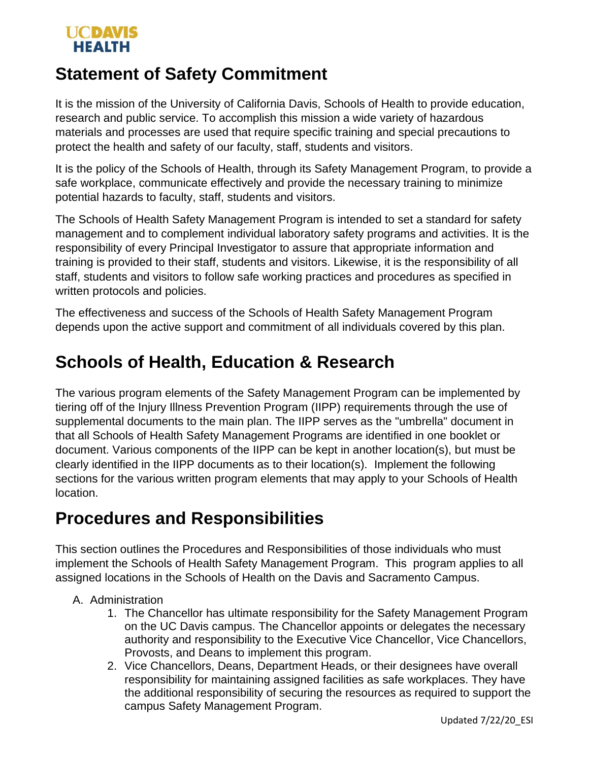#### UCDAVIS **HEALTH**

## **Statement of Safety Commitment**

It is the mission of the University of California Davis, Schools of Health to provide education, research and public service. To accomplish this mission a wide variety of hazardous materials and processes are used that require specific training and special precautions to protect the health and safety of our faculty, staff, students and visitors.

It is the policy of the Schools of Health, through its Safety Management Program, to provide a safe workplace, communicate effectively and provide the necessary training to minimize potential hazards to faculty, staff, students and visitors.

The Schools of Health Safety Management Program is intended to set a standard for safety management and to complement individual laboratory safety programs and activities. It is the responsibility of every Principal Investigator to assure that appropriate information and training is provided to their staff, students and visitors. Likewise, it is the responsibility of all staff, students and visitors to follow safe working practices and procedures as specified in written protocols and policies.

The effectiveness and success of the Schools of Health Safety Management Program depends upon the active support and commitment of all individuals covered by this plan.

# **Schools of Health, Education & Research**

The various program elements of the Safety Management Program can be implemented by tiering off of the Injury Illness Prevention Program (IIPP) requirements through the use of supplemental documents to the main plan. The IIPP serves as the "umbrella" document in that all Schools of Health Safety Management Programs are identified in one booklet or document. Various components of the IIPP can be kept in another location(s), but must be clearly identified in the IIPP documents as to their location(s). Implement the following sections for the various written program elements that may apply to your Schools of Health location.

### **Procedures and Responsibilities**

This section outlines the Procedures and Responsibilities of those individuals who must implement the Schools of Health Safety Management Program. This program applies to all assigned locations in the Schools of Health on the Davis and Sacramento Campus.

- A. Administration
	- 1. The Chancellor has ultimate responsibility for the Safety Management Program on the UC Davis campus. The Chancellor appoints or delegates the necessary authority and responsibility to the Executive Vice Chancellor, Vice Chancellors, Provosts, and Deans to implement this program.
	- 2. Vice Chancellors, Deans, Department Heads, or their designees have overall responsibility for maintaining assigned facilities as safe workplaces. They have the additional responsibility of securing the resources as required to support the campus Safety Management Program.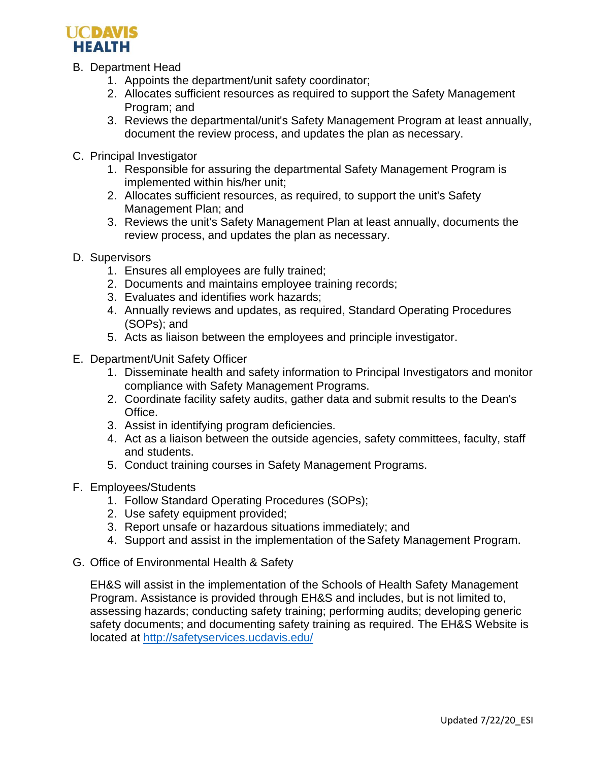

- B. Department Head
	- 1. Appoints the department/unit safety coordinator;
	- 2. Allocates sufficient resources as required to support the Safety Management Program; and
	- 3. Reviews the departmental/unit's Safety Management Program at least annually, document the review process, and updates the plan as necessary.
- C. Principal Investigator
	- 1. Responsible for assuring the departmental Safety Management Program is implemented within his/her unit;
	- 2. Allocates sufficient resources, as required, to support the unit's Safety Management Plan; and
	- 3. Reviews the unit's Safety Management Plan at least annually, documents the review process, and updates the plan as necessary.
- D. Supervisors
	- 1. Ensures all employees are fully trained;
	- 2. Documents and maintains employee training records;
	- 3. Evaluates and identifies work hazards;
	- 4. Annually reviews and updates, as required, Standard Operating Procedures (SOPs); and
	- 5. Acts as liaison between the employees and principle investigator.
- E. Department/Unit Safety Officer
	- 1. Disseminate health and safety information to Principal Investigators and monitor compliance with Safety Management Programs.
	- 2. Coordinate facility safety audits, gather data and submit results to the Dean's Office.
	- 3. Assist in identifying program deficiencies.
	- 4. Act as a liaison between the outside agencies, safety committees, faculty, staff and students.
	- 5. Conduct training courses in Safety Management Programs.
- F. Employees/Students
	- 1. Follow Standard Operating Procedures (SOPs);
	- 2. Use safety equipment provided;
	- 3. Report unsafe or hazardous situations immediately; and
	- 4. Support and assist in the implementation of theSafety Management Program.
- G. Office of Environmental Health & Safety

EH&S will assist in the implementation of the Schools of Health Safety Management Program. Assistance is provided through EH&S and includes, but is not limited to, assessing hazards; conducting safety training; performing audits; developing generic safety documents; and documenting safety training as required. The EH&S Website is located at<http://safetyservices.ucdavis.edu/>